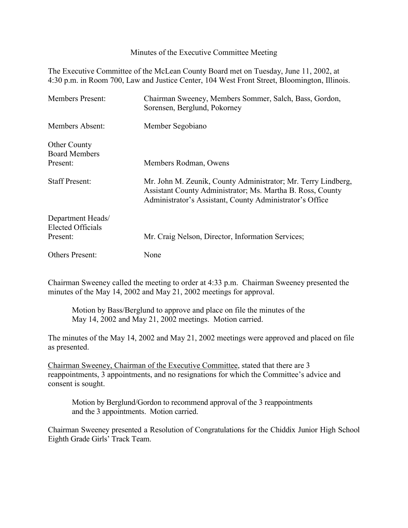Minutes of the Executive Committee Meeting

The Executive Committee of the McLean County Board met on Tuesday, June 11, 2002, at 4:30 p.m. in Room 700, Law and Justice Center, 104 West Front Street, Bloomington, Illinois.

| <b>Members Present:</b>                                 | Chairman Sweeney, Members Sommer, Salch, Bass, Gordon,<br>Sorensen, Berglund, Pokorney                                                                                                  |
|---------------------------------------------------------|-----------------------------------------------------------------------------------------------------------------------------------------------------------------------------------------|
| Members Absent:                                         | Member Segobiano                                                                                                                                                                        |
| <b>Other County</b><br><b>Board Members</b><br>Present: | Members Rodman, Owens                                                                                                                                                                   |
| <b>Staff Present:</b>                                   | Mr. John M. Zeunik, County Administrator; Mr. Terry Lindberg,<br>Assistant County Administrator; Ms. Martha B. Ross, County<br>Administrator's Assistant, County Administrator's Office |
| Department Heads/<br>Elected Officials<br>Present:      | Mr. Craig Nelson, Director, Information Services;                                                                                                                                       |
| Others Present:                                         | None                                                                                                                                                                                    |

Chairman Sweeney called the meeting to order at 4:33 p.m. Chairman Sweeney presented the minutes of the May 14, 2002 and May 21, 2002 meetings for approval.

Motion by Bass/Berglund to approve and place on file the minutes of the May 14, 2002 and May 21, 2002 meetings. Motion carried.

The minutes of the May 14, 2002 and May 21, 2002 meetings were approved and placed on file as presented.

Chairman Sweeney, Chairman of the Executive Committee, stated that there are 3 reappointments, 3 appointments, and no resignations for which the Committee's advice and consent is sought.

Motion by Berglund/Gordon to recommend approval of the 3 reappointments and the 3 appointments. Motion carried.

Chairman Sweeney presented a Resolution of Congratulations for the Chiddix Junior High School Eighth Grade Girls' Track Team.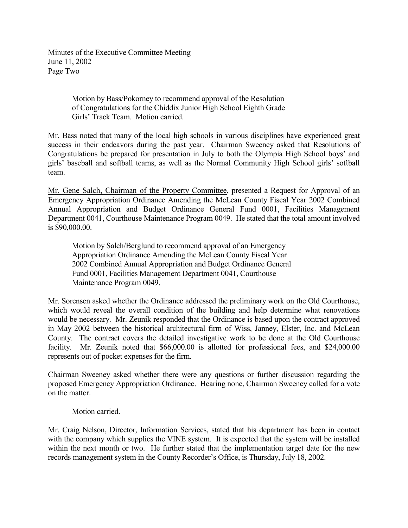Minutes of the Executive Committee Meeting June 11, 2002 Page Two

> Motion by Bass/Pokorney to recommend approval of the Resolution of Congratulations for the Chiddix Junior High School Eighth Grade Girls' Track Team. Motion carried.

Mr. Bass noted that many of the local high schools in various disciplines have experienced great success in their endeavors during the past year. Chairman Sweeney asked that Resolutions of Congratulations be prepared for presentation in July to both the Olympia High School boys' and girls' baseball and softball teams, as well as the Normal Community High School girls' softball team.

Mr. Gene Salch, Chairman of the Property Committee, presented a Request for Approval of an Emergency Appropriation Ordinance Amending the McLean County Fiscal Year 2002 Combined Annual Appropriation and Budget Ordinance General Fund 0001, Facilities Management Department 0041, Courthouse Maintenance Program 0049. He stated that the total amount involved is \$90,000.00.

Motion by Salch/Berglund to recommend approval of an Emergency Appropriation Ordinance Amending the McLean County Fiscal Year 2002 Combined Annual Appropriation and Budget Ordinance General Fund 0001, Facilities Management Department 0041, Courthouse Maintenance Program 0049.

Mr. Sorensen asked whether the Ordinance addressed the preliminary work on the Old Courthouse, which would reveal the overall condition of the building and help determine what renovations would be necessary. Mr. Zeunik responded that the Ordinance is based upon the contract approved in May 2002 between the historical architectural firm of Wiss, Janney, Elster, Inc. and McLean County. The contract covers the detailed investigative work to be done at the Old Courthouse facility. Mr. Zeunik noted that \$66,000.00 is allotted for professional fees, and \$24,000.00 represents out of pocket expenses for the firm.

Chairman Sweeney asked whether there were any questions or further discussion regarding the proposed Emergency Appropriation Ordinance. Hearing none, Chairman Sweeney called for a vote on the matter.

## Motion carried.

Mr. Craig Nelson, Director, Information Services, stated that his department has been in contact with the company which supplies the VINE system. It is expected that the system will be installed within the next month or two. He further stated that the implementation target date for the new records management system in the County Recorder's Office, is Thursday, July 18, 2002.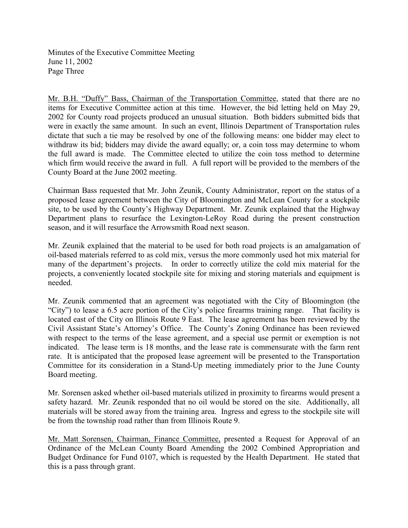Minutes of the Executive Committee Meeting June 11, 2002 Page Three

Mr. B.H. "Duffy" Bass, Chairman of the Transportation Committee, stated that there are no items for Executive Committee action at this time. However, the bid letting held on May 29, 2002 for County road projects produced an unusual situation. Both bidders submitted bids that were in exactly the same amount. In such an event, Illinois Department of Transportation rules dictate that such a tie may be resolved by one of the following means: one bidder may elect to withdraw its bid; bidders may divide the award equally; or, a coin toss may determine to whom the full award is made. The Committee elected to utilize the coin toss method to determine which firm would receive the award in full. A full report will be provided to the members of the County Board at the June 2002 meeting.

Chairman Bass requested that Mr. John Zeunik, County Administrator, report on the status of a proposed lease agreement between the City of Bloomington and McLean County for a stockpile site, to be used by the County's Highway Department. Mr. Zeunik explained that the Highway Department plans to resurface the Lexington-LeRoy Road during the present construction season, and it will resurface the Arrowsmith Road next season.

Mr. Zeunik explained that the material to be used for both road projects is an amalgamation of oil-based materials referred to as cold mix, versus the more commonly used hot mix material for many of the department's projects. In order to correctly utilize the cold mix material for the projects, a conveniently located stockpile site for mixing and storing materials and equipment is needed.

Mr. Zeunik commented that an agreement was negotiated with the City of Bloomington (the "City") to lease a 6.5 acre portion of the City's police firearms training range. That facility is located east of the City on Illinois Route 9 East. The lease agreement has been reviewed by the Civil Assistant State's Attorney's Office. The County's Zoning Ordinance has been reviewed with respect to the terms of the lease agreement, and a special use permit or exemption is not indicated. The lease term is 18 months, and the lease rate is commensurate with the farm rent rate. It is anticipated that the proposed lease agreement will be presented to the Transportation Committee for its consideration in a Stand-Up meeting immediately prior to the June County Board meeting.

Mr. Sorensen asked whether oil-based materials utilized in proximity to firearms would present a safety hazard. Mr. Zeunik responded that no oil would be stored on the site. Additionally, all materials will be stored away from the training area. Ingress and egress to the stockpile site will be from the township road rather than from Illinois Route 9.

Mr. Matt Sorensen, Chairman, Finance Committee, presented a Request for Approval of an Ordinance of the McLean County Board Amending the 2002 Combined Appropriation and Budget Ordinance for Fund 0107, which is requested by the Health Department. He stated that this is a pass through grant.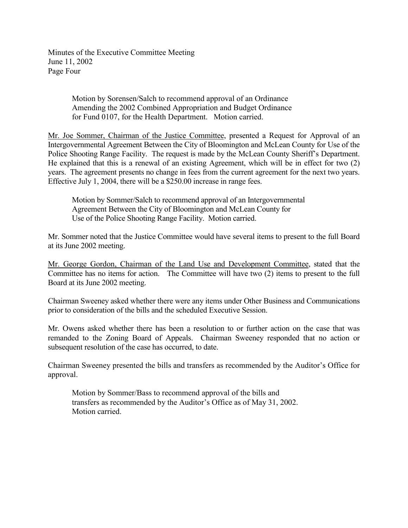Minutes of the Executive Committee Meeting June 11, 2002 Page Four

> Motion by Sorensen/Salch to recommend approval of an Ordinance Amending the 2002 Combined Appropriation and Budget Ordinance for Fund 0107, for the Health Department. Motion carried.

Mr. Joe Sommer, Chairman of the Justice Committee, presented a Request for Approval of an Intergovernmental Agreement Between the City of Bloomington and McLean County for Use of the Police Shooting Range Facility. The request is made by the McLean County Sheriff's Department. He explained that this is a renewal of an existing Agreement, which will be in effect for two (2) years. The agreement presents no change in fees from the current agreement for the next two years. Effective July 1, 2004, there will be a \$250.00 increase in range fees.

Motion by Sommer/Salch to recommend approval of an Intergovernmental Agreement Between the City of Bloomington and McLean County for Use of the Police Shooting Range Facility. Motion carried.

Mr. Sommer noted that the Justice Committee would have several items to present to the full Board at its June 2002 meeting.

Mr. George Gordon, Chairman of the Land Use and Development Committee, stated that the Committee has no items for action. The Committee will have two (2) items to present to the full Board at its June 2002 meeting.

Chairman Sweeney asked whether there were any items under Other Business and Communications prior to consideration of the bills and the scheduled Executive Session.

Mr. Owens asked whether there has been a resolution to or further action on the case that was remanded to the Zoning Board of Appeals. Chairman Sweeney responded that no action or subsequent resolution of the case has occurred, to date.

Chairman Sweeney presented the bills and transfers as recommended by the Auditor's Office for approval.

Motion by Sommer/Bass to recommend approval of the bills and transfers as recommended by the Auditor's Office as of May 31, 2002. Motion carried.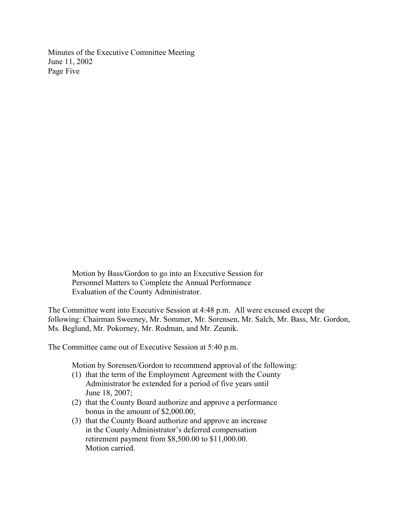Minutes of the Executive Committee Meeting June 11, 2002 Page Five

> Motion by Bass/Gordon to go into an Executive Session for Personnel Matters to Complete the Annual Performance Evaluation of the County Administrator.

The Committee went into Executive Session at 4:48 p.m. All were excused except the following: Chairman Sweeney, Mr. Sommer, Mr. Sorensen, Mr. Salch, Mr. Bass, Mr. Gordon, Ms. Beglund, Mr. Pokorney, Mr. Rodman, and Mr. Zeunik.

The Committee came out of Executive Session at 5:40 p.m.

Motion by Sorensen/Gordon to recommend approval of the following:

- (1) that the term of the Employment Agreement with the County Administrator be extended for a period of five years until June 18, 2007;
- (2) that the County Board authorize and approve a performance bonus in the amount of \$2,000.00;
- (3) that the County Board authorize and approve an increase in the County Administrator's deferred compensation retirement payment from \$8,500.00 to \$11,000.00. Motion carried.